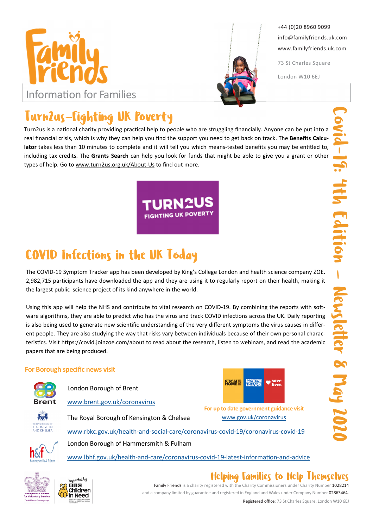



+44 (0)20 8960 9099 info@familyfriends.uk.com www.familyfriends.uk.com

73 St Charles Square

London W10 6EJ

# Turn2us-Fighting UK Poverty

Turn2us is a national charity providing practical help to people who are struggling financially. Anyone can be put into a real financial crisis, which is why they can help you find the support you need to get back on track. The Benefits Calculator takes less than 10 minutes to complete and it will tell you which means-tested benefits you may be entitled to, including tax credits. The Grants Search can help you look for funds that might be able to give you a grant or other types of help. Go to www.turn2us.org.uk/About-Us to find out more.

**JK POVERTY** 

# COVID Infections in the UK Today

The COVID-19 Symptom Tracker app has been developed by King's College London and health science company ZOE. 2,982,715 participants have downloaded the app and they are using it to regularly report on their health, making it the largest public science project of its kind anywhere in the world.

Using this app will help the NHS and contribute to vital research on COVID-19. By combining the reports with software algorithms, they are able to predict who has the virus and track COVID infections across the UK. Daily reporting is also being used to generate new scientific understanding of the very different symptoms the virus causes in different people. They are also studying the way that risks vary between individuals because of their own personal characteristics. Visit https://covid.joinzoe.com/about to read about the research, listen to webinars, and read the academic papers that are being produced.

### For Borough specific news visit



London Borough of Brent

www.brent.gov.uk/coronavirus

 $1 - 1$ KENSINGTON The Royal Borough of Kensington & Chelsea



For up to date government guidance visit www.gov.uk/coronavirus







www.rbkc.gov.uk/health-and-social-care/coronavirus-covid-19/coronavirus-covid-19

www.lbhf.gov.uk/health-and-care/coronavirus-covid-19-latest-information-and-advice





## Helping Families to Help Themselves

Family Friends is a charity registered with the Charity Commissioners under Charity Number 1028214 and a company limited by guarantee and registered in England and Wales under Company Number 02863464.